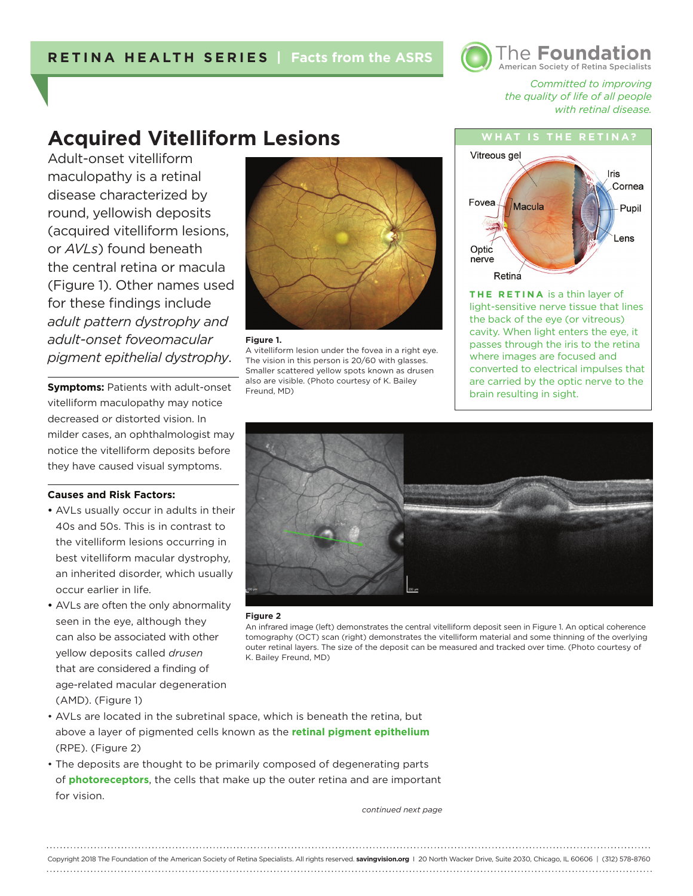

*Committed to improving the quality of life of all people with retinal disease.* 

# **Acquired Vitelliform Lesions**

Adult-onset vitelliform maculopathy is a retinal disease characterized by round, yellowish deposits (acquired vitelliform lesions, or *AVLs*) found beneath the central retina or macula (Figure 1). Other names used for these findings include *adult pattern dystrophy and adult-onset foveomacular pigment epithelial dystrophy*.

**Symptoms: Patients with adult-onset** vitelliform maculopathy may notice decreased or distorted vision. In milder cases, an ophthalmologist may notice the vitelliform deposits before they have caused visual symptoms.

### **Causes and Risk Factors:**

- AVLs usually occur in adults in their 40s and 50s. This is in contrast to the vitelliform lesions occurring in best vitelliform macular dystrophy, an inherited disorder, which usually occur earlier in life.
- AVLs are often the only abnormality seen in the eye, although they can also be associated with other yellow deposits called *drusen* that are considered a finding of age-related macular degeneration (AMD). (Figure 1)



### **Figure 1.**

A vitelliform lesion under the fovea in a right eye. The vision in this person is 20/60 with glasses. Smaller scattered yellow spots known as drusen also are visible. (Photo courtesy of K. Bailey Freund, MD)



**THE RETINA** is a thin layer of light-sensitive nerve tissue that lines the back of the eye (or vitreous) cavity. When light enters the eye, it passes through the iris to the retina where images are focused and converted to electrical impulses that are carried by the optic nerve to the brain resulting in sight.



### **Figure 2**

An infrared image (left) demonstrates the central vitelliform deposit seen in Figure 1. An optical coherence tomography (OCT) scan (right) demonstrates the vitelliform material and some thinning of the overlying outer retinal layers. The size of the deposit can be measured and tracked over time. (Photo courtesy of K. Bailey Freund, MD)

- AVLs are located in the subretinal space, which is beneath the retina, but above a layer of pigmented cells known as the **retinal pigment epithelium** (RPE). (Figure 2)
- The deposits are thought to be primarily composed of degenerating parts of **photoreceptors**, the cells that make up the outer retina and are important for vision.

*continued next page*

Copyright 2018 The Foundation of the American Society of Retina Specialists. All rights reserved. **savingvision.org** I 20 North Wacker Drive, Suite 2030, Chicago, IL 60606 | (312) 578-8760